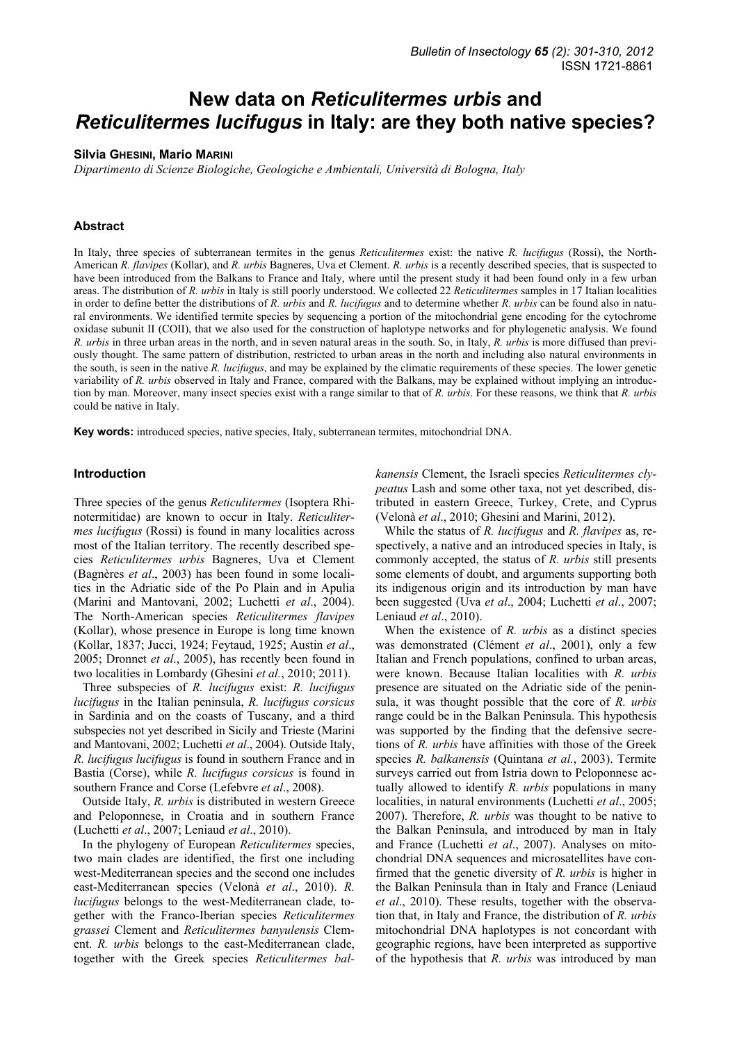# **New data on** *Reticulitermes urbis* **and**  *Reticulitermes lucifugus* **in Italy: are they both native species?**

## **Silvia GHESINI, Mario MARINI**

*Dipartimento di Scienze Biologiche, Geologiche e Ambientali, Università di Bologna, Italy* 

# **Abstract**

In Italy, three species of subterranean termites in the genus *Reticulitermes* exist: the native *R. lucifugus* (Rossi), the North-American *R. flavipes* (Kollar), and *R. urbis* Bagneres, Uva et Clement. *R. urbis* is a recently described species, that is suspected to have been introduced from the Balkans to France and Italy, where until the present study it had been found only in a few urban areas. The distribution of *R. urbis* in Italy is still poorly understood. We collected 22 *Reticulitermes* samples in 17 Italian localities in order to define better the distributions of *R. urbis* and *R. lucifugus* and to determine whether *R. urbis* can be found also in natural environments. We identified termite species by sequencing a portion of the mitochondrial gene encoding for the cytochrome oxidase subunit II (COII), that we also used for the construction of haplotype networks and for phylogenetic analysis. We found *R. urbis* in three urban areas in the north, and in seven natural areas in the south. So, in Italy, *R. urbis* is more diffused than previously thought. The same pattern of distribution, restricted to urban areas in the north and including also natural environments in the south, is seen in the native *R. lucifugus*, and may be explained by the climatic requirements of these species. The lower genetic variability of *R. urbis* observed in Italy and France, compared with the Balkans, may be explained without implying an introduction by man. Moreover, many insect species exist with a range similar to that of *R. urbis*. For these reasons, we think that *R. urbis* could be native in Italy.

**Key words:** introduced species, native species, Italy, subterranean termites, mitochondrial DNA.

## **Introduction**

Three species of the genus *Reticulitermes* (Isoptera Rhinotermitidae) are known to occur in Italy. *Reticulitermes lucifugus* (Rossi) is found in many localities across most of the Italian territory. The recently described species *Reticulitermes urbis* Bagneres, Uva et Clement (Bagnères *et al*., 2003) has been found in some localities in the Adriatic side of the Po Plain and in Apulia (Marini and Mantovani, 2002; Luchetti *et al*., 2004). The North-American species *Reticulitermes flavipes* (Kollar), whose presence in Europe is long time known (Kollar, 1837; Jucci, 1924; Feytaud, 1925; Austin *et al*., 2005; Dronnet *et al*., 2005), has recently been found in two localities in Lombardy (Ghesini *et al.*, 2010; 2011).

Three subspecies of *R. lucifugus* exist: *R. lucifugus lucifugus* in the Italian peninsula, *R. lucifugus corsicus* in Sardinia and on the coasts of Tuscany, and a third subspecies not yet described in Sicily and Trieste (Marini and Mantovani, 2002; Luchetti *et al*., 2004). Outside Italy, *R. lucifugus lucifugus* is found in southern France and in Bastia (Corse), while *R. lucifugus corsicus* is found in southern France and Corse (Lefebvre *et al*., 2008).

Outside Italy, *R. urbis* is distributed in western Greece and Peloponnese, in Croatia and in southern France (Luchetti *et al*., 2007; Leniaud *et al*., 2010).

In the phylogeny of European *Reticulitermes* species, two main clades are identified, the first one including west-Mediterranean species and the second one includes east-Mediterranean species (Velonà *et al*., 2010). *R. lucifugus* belongs to the west-Mediterranean clade, together with the Franco-Iberian species *Reticulitermes grassei* Clement and *Reticulitermes banyulensis* Clement. *R. urbis* belongs to the east-Mediterranean clade, together with the Greek species *Reticulitermes bal-* *kanensis* Clement, the Israeli species *Reticulitermes clypeatus* Lash and some other taxa, not yet described, distributed in eastern Greece, Turkey, Crete, and Cyprus (Velonà *et al*., 2010; Ghesini and Marini, 2012).

While the status of *R. lucifugus* and *R. flavipes* as, respectively, a native and an introduced species in Italy, is commonly accepted, the status of *R. urbis* still presents some elements of doubt, and arguments supporting both its indigenous origin and its introduction by man have been suggested (Uva *et al*., 2004; Luchetti *et al*., 2007; Leniaud *et al*., 2010).

When the existence of *R. urbis* as a distinct species was demonstrated (Clément *et al*., 2001), only a few Italian and French populations, confined to urban areas, were known. Because Italian localities with *R. urbis* presence are situated on the Adriatic side of the peninsula, it was thought possible that the core of *R. urbis* range could be in the Balkan Peninsula. This hypothesis was supported by the finding that the defensive secretions of *R. urbis* have affinities with those of the Greek species *R. balkanensis* (Quintana *et al.*, 2003). Termite surveys carried out from Istria down to Peloponnese actually allowed to identify *R. urbis* populations in many localities, in natural environments (Luchetti *et al*., 2005; 2007). Therefore, *R. urbis* was thought to be native to the Balkan Peninsula, and introduced by man in Italy and France (Luchetti *et al*., 2007). Analyses on mitochondrial DNA sequences and microsatellites have confirmed that the genetic diversity of *R. urbis* is higher in the Balkan Peninsula than in Italy and France (Leniaud *et al*., 2010). These results, together with the observation that, in Italy and France, the distribution of *R. urbis* mitochondrial DNA haplotypes is not concordant with geographic regions, have been interpreted as supportive of the hypothesis that *R. urbis* was introduced by man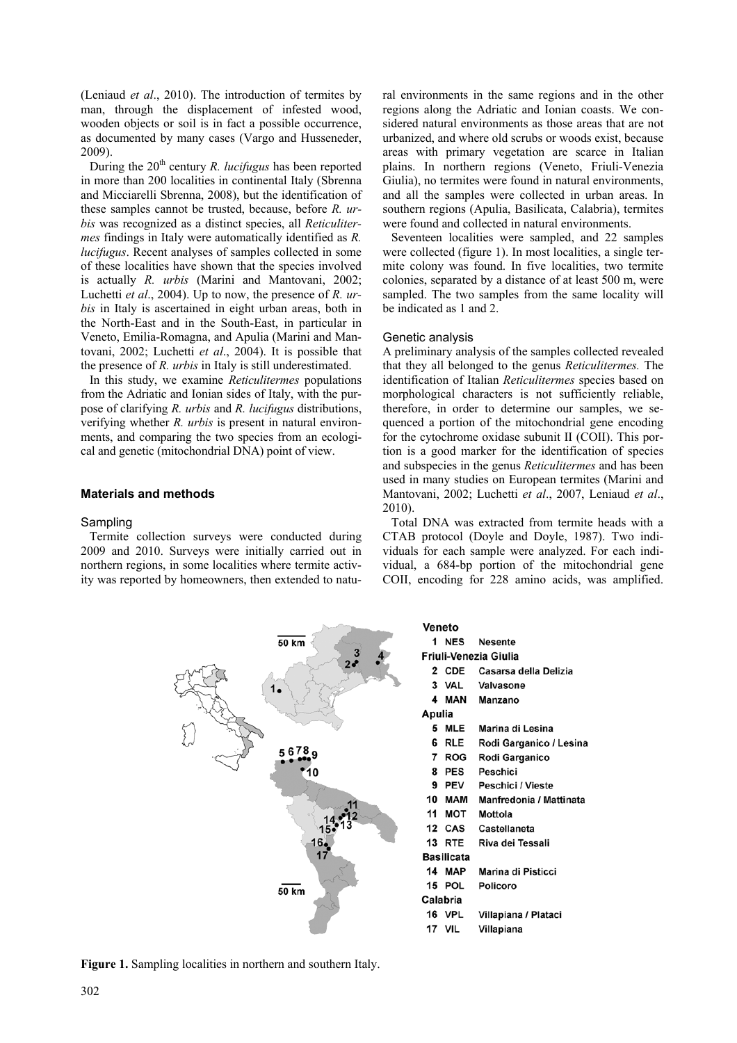(Leniaud *et al*., 2010). The introduction of termites by man, through the displacement of infested wood, wooden objects or soil is in fact a possible occurrence, as documented by many cases (Vargo and Husseneder, 2009).

During the 20<sup>th</sup> century *R. lucifugus* has been reported in more than 200 localities in continental Italy (Sbrenna and Micciarelli Sbrenna, 2008), but the identification of these samples cannot be trusted, because, before *R. urbis* was recognized as a distinct species, all *Reticulitermes* findings in Italy were automatically identified as *R. lucifugus*. Recent analyses of samples collected in some of these localities have shown that the species involved is actually *R. urbis* (Marini and Mantovani, 2002; Luchetti *et al*., 2004). Up to now, the presence of *R. urbis* in Italy is ascertained in eight urban areas, both in the North-East and in the South-East, in particular in Veneto, Emilia-Romagna, and Apulia (Marini and Mantovani, 2002; Luchetti *et al*., 2004). It is possible that the presence of *R. urbis* in Italy is still underestimated.

In this study, we examine *Reticulitermes* populations from the Adriatic and Ionian sides of Italy, with the purpose of clarifying *R. urbis* and *R. lucifugus* distributions, verifying whether *R. urbis* is present in natural environments, and comparing the two species from an ecological and genetic (mitochondrial DNA) point of view.

# **Materials and methods**

## Sampling

Termite collection surveys were conducted during 2009 and 2010. Surveys were initially carried out in northern regions, in some localities where termite activity was reported by homeowners, then extended to natural environments in the same regions and in the other regions along the Adriatic and Ionian coasts. We considered natural environments as those areas that are not urbanized, and where old scrubs or woods exist, because areas with primary vegetation are scarce in Italian plains. In northern regions (Veneto, Friuli-Venezia Giulia), no termites were found in natural environments, and all the samples were collected in urban areas. In southern regions (Apulia, Basilicata, Calabria), termites were found and collected in natural environments.

Seventeen localities were sampled, and 22 samples were collected (figure 1). In most localities, a single termite colony was found. In five localities, two termite colonies, separated by a distance of at least 500 m, were sampled. The two samples from the same locality will be indicated as 1 and 2.

#### Genetic analysis

A preliminary analysis of the samples collected revealed that they all belonged to the genus *Reticulitermes.* The identification of Italian *Reticulitermes* species based on morphological characters is not sufficiently reliable, therefore, in order to determine our samples, we sequenced a portion of the mitochondrial gene encoding for the cytochrome oxidase subunit II (COII). This portion is a good marker for the identification of species and subspecies in the genus *Reticulitermes* and has been used in many studies on European termites (Marini and Mantovani, 2002; Luchetti *et al*., 2007, Leniaud *et al*., 2010).

Total DNA was extracted from termite heads with a CTAB protocol (Doyle and Doyle, 1987). Two individuals for each sample were analyzed. For each individual, a 684-bp portion of the mitochondrial gene COII, encoding for 228 amino acids, was amplified.

 $50 km$ 56789  $50 km$ 

**Figure 1.** Sampling localities in northern and southern Italy.

| Veneto                |               |                             |  |  |  |  |
|-----------------------|---------------|-----------------------------|--|--|--|--|
|                       | 1 NES         | <b>Nesente</b>              |  |  |  |  |
| Friuli-Venezia Giulia |               |                             |  |  |  |  |
|                       |               | 2 CDE Casarsa della Delizia |  |  |  |  |
|                       |               | 3 VAL Valvasone             |  |  |  |  |
| 4                     |               | <b>MAN</b> Manzano          |  |  |  |  |
| Apulia                |               |                             |  |  |  |  |
| 5.                    | MLE           | Marina di Lesina            |  |  |  |  |
|                       | 6 RLE         | Rodi Garganico / Lesina     |  |  |  |  |
|                       | 7 ROG         | Rodi Garganico              |  |  |  |  |
|                       | 8 PES         | Peschici                    |  |  |  |  |
|                       | 9 PEV         | Peschici / Vieste           |  |  |  |  |
|                       | 10 MAM        | Manfredonia / Mattinata     |  |  |  |  |
|                       | 11 MOT        | Mottola                     |  |  |  |  |
|                       | 12 CAS        | Castellaneta                |  |  |  |  |
|                       | 13 RTE        | Riva dei Tessali            |  |  |  |  |
| <b>Basilicata</b>     |               |                             |  |  |  |  |
| 14                    | MAP           | Marina di Pisticci          |  |  |  |  |
|                       | 15 POL        | Policoro                    |  |  |  |  |
| Calabria              |               |                             |  |  |  |  |
|                       | <b>16 VPL</b> | Villapiana / Plataci        |  |  |  |  |
|                       | <b>17 VIL</b> | Villapiana                  |  |  |  |  |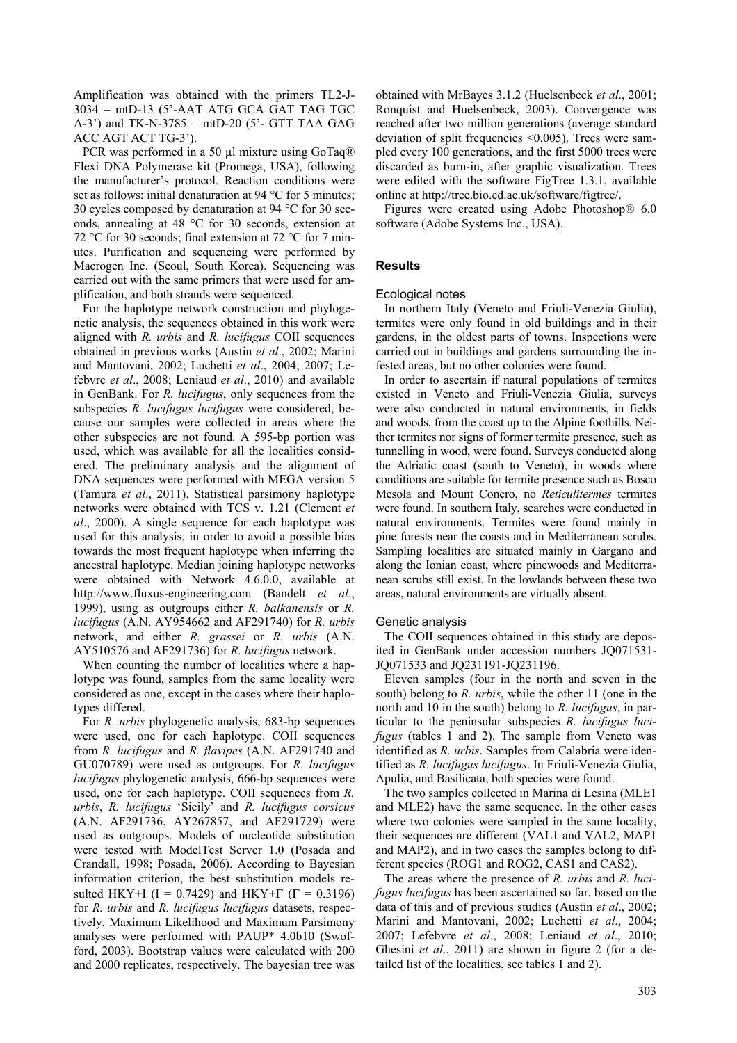Amplification was obtained with the primers TL2-J- $3034 = \text{mt}$ D-13 (5'-AAT ATG GCA GAT TAG TGC A-3') and TK-N-3785 = mtD-20 (5'- GTT TAA GAG ACC AGT ACT TG-3').

PCR was performed in a 50 µl mixture using GoTaq<sup>®</sup> Flexi DNA Polymerase kit (Promega, USA), following the manufacturer's protocol. Reaction conditions were set as follows: initial denaturation at 94 °C for 5 minutes; 30 cycles composed by denaturation at 94 °C for 30 seconds, annealing at 48 °C for 30 seconds, extension at 72 °C for 30 seconds; final extension at 72 °C for 7 minutes. Purification and sequencing were performed by Macrogen Inc. (Seoul, South Korea). Sequencing was carried out with the same primers that were used for amplification, and both strands were sequenced.

For the haplotype network construction and phylogenetic analysis, the sequences obtained in this work were aligned with *R. urbis* and *R. lucifugus* COII sequences obtained in previous works (Austin *et al*., 2002; Marini and Mantovani, 2002; Luchetti *et al*., 2004; 2007; Lefebvre *et al*., 2008; Leniaud *et al*., 2010) and available in GenBank. For *R. lucifugus*, only sequences from the subspecies *R. lucifugus lucifugus* were considered, because our samples were collected in areas where the other subspecies are not found. A 595-bp portion was used, which was available for all the localities considered. The preliminary analysis and the alignment of DNA sequences were performed with MEGA version 5 (Tamura *et al*., 2011). Statistical parsimony haplotype networks were obtained with TCS v. 1.21 (Clement *et al*., 2000). A single sequence for each haplotype was used for this analysis, in order to avoid a possible bias towards the most frequent haplotype when inferring the ancestral haplotype. Median joining haplotype networks were obtained with Network 4.6.0.0, available at http://www.fluxus-engineering.com (Bandelt *et al*., 1999), using as outgroups either *R. balkanensis* or *R. lucifugus* (A.N. AY954662 and AF291740) for *R. urbis* network, and either *R. grassei* or *R. urbis* (A.N. AY510576 and AF291736) for *R. lucifugus* network.

When counting the number of localities where a haplotype was found, samples from the same locality were considered as one, except in the cases where their haplotypes differed.

For *R. urbis* phylogenetic analysis, 683-bp sequences were used, one for each haplotype. COII sequences from *R. lucifugus* and *R. flavipes* (A.N. AF291740 and GU070789) were used as outgroups. For *R. lucifugus lucifugus* phylogenetic analysis, 666-bp sequences were used, one for each haplotype. COII sequences from *R. urbis*, *R. lucifugus* 'Sicily' and *R. lucifugus corsicus* (A.N. AF291736, AY267857, and AF291729) were used as outgroups. Models of nucleotide substitution were tested with ModelTest Server 1.0 (Posada and Crandall, 1998; Posada, 2006). According to Bayesian information criterion, the best substitution models resulted HKY+I (I = 0.7429) and HKY+ $\Gamma$  ( $\Gamma$  = 0.3196) for *R. urbis* and *R. lucifugus lucifugus* datasets, respectively. Maximum Likelihood and Maximum Parsimony analyses were performed with PAUP\* 4.0b10 (Swofford, 2003). Bootstrap values were calculated with 200 and 2000 replicates, respectively. The bayesian tree was

obtained with MrBayes 3.1.2 (Huelsenbeck *et al*., 2001; Ronquist and Huelsenbeck, 2003). Convergence was reached after two million generations (average standard deviation of split frequencies <0.005). Trees were sampled every 100 generations, and the first 5000 trees were discarded as burn-in, after graphic visualization. Trees were edited with the software FigTree 1.3.1, available online at http://tree.bio.ed.ac.uk/software/figtree/.

Figures were created using Adobe Photoshop® 6.0 software (Adobe Systems Inc., USA).

# **Results**

## Ecological notes

In northern Italy (Veneto and Friuli-Venezia Giulia), termites were only found in old buildings and in their gardens, in the oldest parts of towns. Inspections were carried out in buildings and gardens surrounding the infested areas, but no other colonies were found.

In order to ascertain if natural populations of termites existed in Veneto and Friuli-Venezia Giulia, surveys were also conducted in natural environments, in fields and woods, from the coast up to the Alpine foothills. Neither termites nor signs of former termite presence, such as tunnelling in wood, were found. Surveys conducted along the Adriatic coast (south to Veneto), in woods where conditions are suitable for termite presence such as Bosco Mesola and Mount Conero, no *Reticulitermes* termites were found. In southern Italy, searches were conducted in natural environments. Termites were found mainly in pine forests near the coasts and in Mediterranean scrubs. Sampling localities are situated mainly in Gargano and along the Ionian coast, where pinewoods and Mediterranean scrubs still exist. In the lowlands between these two areas, natural environments are virtually absent.

#### Genetic analysis

The COII sequences obtained in this study are deposited in GenBank under accession numbers JQ071531- JQ071533 and JQ231191-JQ231196.

Eleven samples (four in the north and seven in the south) belong to *R. urbis*, while the other 11 (one in the north and 10 in the south) belong to *R. lucifugus*, in particular to the peninsular subspecies *R. lucifugus lucifugus* (tables 1 and 2). The sample from Veneto was identified as *R. urbis*. Samples from Calabria were identified as *R. lucifugus lucifugus*. In Friuli-Venezia Giulia, Apulia, and Basilicata, both species were found.

The two samples collected in Marina di Lesina (MLE1 and MLE2) have the same sequence. In the other cases where two colonies were sampled in the same locality, their sequences are different (VAL1 and VAL2, MAP1 and MAP2), and in two cases the samples belong to different species (ROG1 and ROG2, CAS1 and CAS2).

The areas where the presence of *R. urbis* and *R. lucifugus lucifugus* has been ascertained so far, based on the data of this and of previous studies (Austin *et al*., 2002; Marini and Mantovani, 2002; Luchetti *et al*., 2004; 2007; Lefebvre *et al*., 2008; Leniaud *et al*., 2010; Ghesini *et al*., 2011) are shown in figure 2 (for a detailed list of the localities, see tables 1 and 2).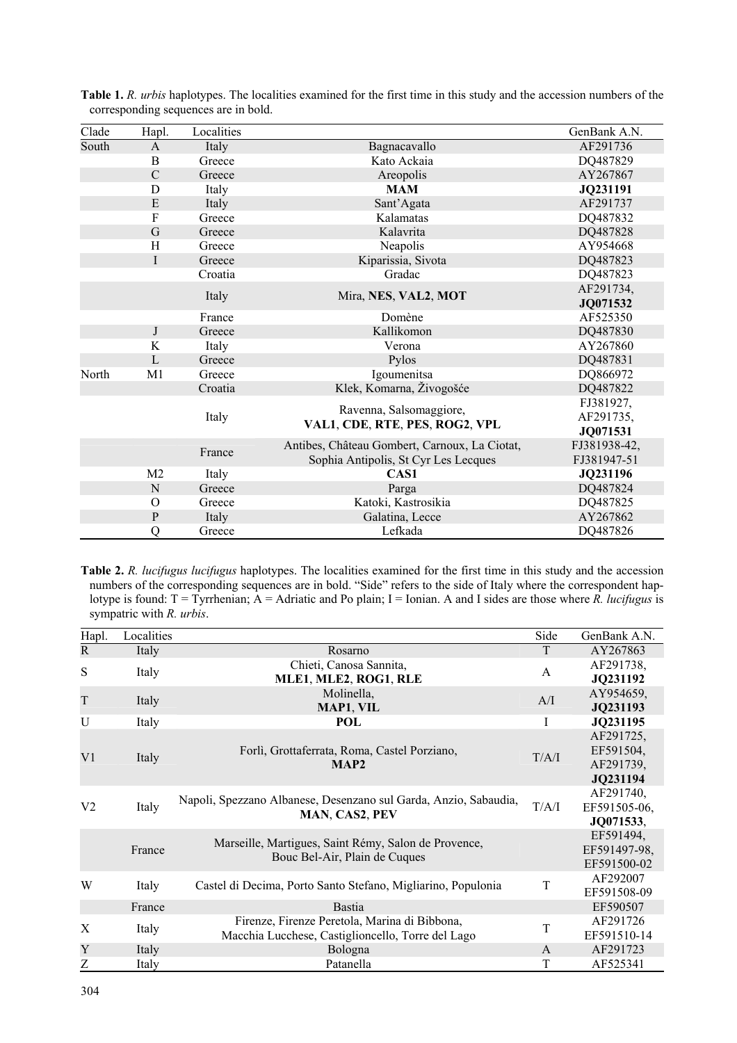| Clade | Hapl.          | Localities |                                               | GenBank A.N. |
|-------|----------------|------------|-----------------------------------------------|--------------|
| South | $\mathbf{A}$   | Italy      | Bagnacavallo                                  | AF291736     |
|       | B              | Greece     | Kato Ackaia                                   | DQ487829     |
|       | $\mathcal{C}$  | Greece     | Areopolis                                     | AY267867     |
|       | D              | Italy      | <b>MAM</b>                                    | JQ231191     |
|       | ${\bf E}$      | Italy      | Sant'Agata                                    | AF291737     |
|       | $\rm F$        | Greece     | Kalamatas                                     | DQ487832     |
|       | $\mathbf G$    | Greece     | Kalavrita                                     | DQ487828     |
|       | H              | Greece     | Neapolis                                      | AY954668     |
|       | $\mathbf{I}$   | Greece     | Kiparissia, Sivota                            | DQ487823     |
|       |                | Croatia    | Gradac                                        | DQ487823     |
|       |                | Italy      | Mira, NES, VAL2, MOT                          | AF291734,    |
|       |                |            |                                               | JQ071532     |
|       |                | France     | Domène                                        | AF525350     |
|       | $\mathbf{J}$   | Greece     | Kallikomon                                    | DQ487830     |
|       | $\bf K$        | Italy      | Verona                                        | AY267860     |
|       | $\mathbf{L}$   | Greece     | Pylos                                         | DQ487831     |
| North | M1             | Greece     | Igoumenitsa                                   | DQ866972     |
|       |                | Croatia    | Klek, Komarna, Živogošće                      | DQ487822     |
|       |                | Italy      |                                               | FJ381927,    |
|       |                |            | Ravenna, Salsomaggiore,                       | AF291735,    |
|       |                |            | VAL1, CDE, RTE, PES, ROG2, VPL                | JQ071531     |
|       |                |            | Antibes, Château Gombert, Carnoux, La Ciotat, | FJ381938-42, |
|       |                | France     | Sophia Antipolis, St Cyr Les Lecques          | FJ381947-51  |
|       | M <sub>2</sub> | Italy      | CAS1                                          | JQ231196     |
|       | ${\bf N}$      | Greece     | Parga                                         | DQ487824     |
|       | $\overline{O}$ | Greece     | Katoki, Kastrosikia                           | DQ487825     |
|       | ${\bf P}$      | Italy      | Galatina, Lecce                               | AY267862     |
|       | Q              | Greece     | Lefkada                                       | DQ487826     |

**Table 1.** *R. urbis* haplotypes. The localities examined for the first time in this study and the accession numbers of the corresponding sequences are in bold.

**Table 2.** *R. lucifugus lucifugus* haplotypes. The localities examined for the first time in this study and the accession numbers of the corresponding sequences are in bold. "Side" refers to the side of Italy where the correspondent haplotype is found: T = Tyrrhenian; A = Adriatic and Po plain; I = Ionian. A and I sides are those where *R. lucifugus* is sympatric with *R. urbis*.

| Hapl.          | Localities |                                                                                       | Side  | GenBank A.N. |
|----------------|------------|---------------------------------------------------------------------------------------|-------|--------------|
| $\mathsf{R}$   | Italy      | Rosarno                                                                               | T     | AY267863     |
| S              | Italy      | Chieti, Canosa Sannita,                                                               | A     | AF291738,    |
|                |            | MLE1, MLE2, ROG1, RLE                                                                 |       | JQ231192     |
| T              | Italy      | Molinella,                                                                            | A/I   | AY954659,    |
|                |            | MAP1, VIL                                                                             |       | JQ231193     |
| U              | Italy      | POL                                                                                   | I     | JQ231195     |
| V1             |            |                                                                                       |       | AF291725,    |
|                | Italy      | Forlì, Grottaferrata, Roma, Castel Porziano,<br>MAP2                                  | T/A/I | EF591504,    |
|                |            |                                                                                       |       | AF291739,    |
|                |            |                                                                                       |       | JQ231194     |
| V <sub>2</sub> | Italy      | Napoli, Spezzano Albanese, Desenzano sul Garda, Anzio, Sabaudia,<br>MAN, CAS2, PEV    | T/A/I | AF291740,    |
|                |            |                                                                                       |       | EF591505-06, |
|                |            |                                                                                       |       | JQ071533,    |
|                |            | Marseille, Martigues, Saint Rémy, Salon de Provence,<br>Bouc Bel-Air, Plain de Cuques |       | EF591494,    |
|                | France     |                                                                                       |       | EF591497-98, |
|                |            |                                                                                       |       | EF591500-02  |
| W              | Italy      | Castel di Decima, Porto Santo Stefano, Migliarino, Populonia                          | T     | AF292007     |
|                |            |                                                                                       |       | EF591508-09  |
|                | France     | <b>Bastia</b>                                                                         |       | EF590507     |
| X              | Italy      | Firenze, Firenze Peretola, Marina di Bibbona,                                         | T     | AF291726     |
|                |            | Macchia Lucchese, Castiglioncello, Torre del Lago                                     |       | EF591510-14  |
| Y              | Italy      | <b>Bologna</b>                                                                        | A     | AF291723     |
| Z              | Italy      | Patanella                                                                             | T     | AF525341     |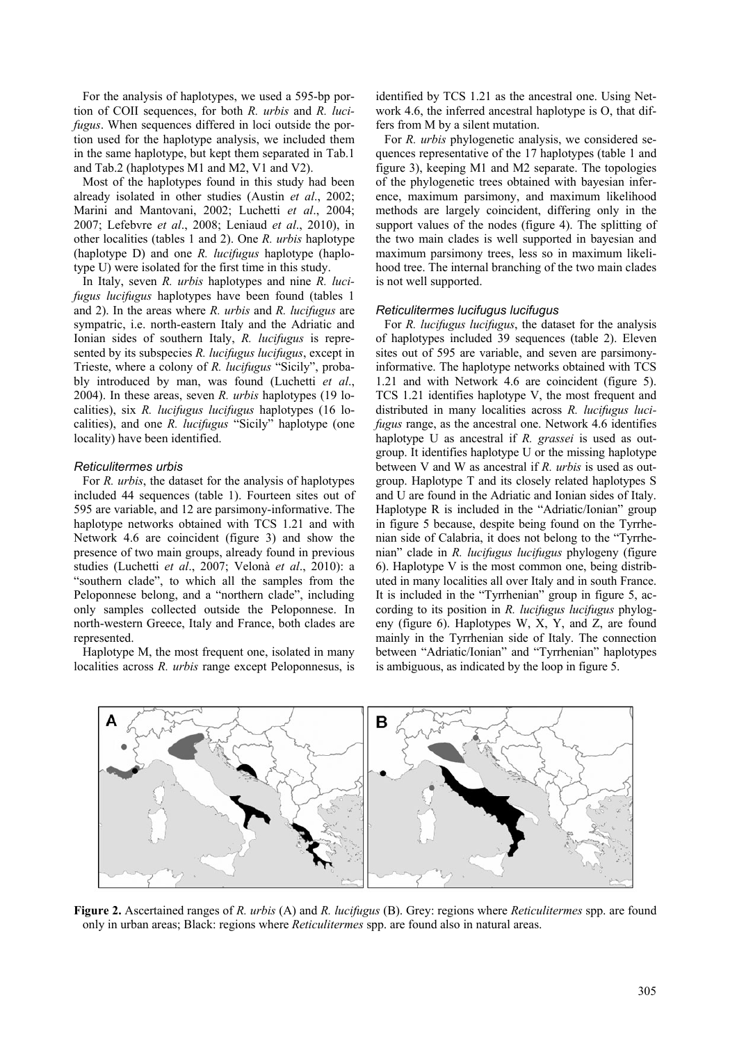For the analysis of haplotypes, we used a 595-bp portion of COII sequences, for both *R. urbis* and *R. lucifugus*. When sequences differed in loci outside the portion used for the haplotype analysis, we included them in the same haplotype, but kept them separated in Tab.1 and Tab.2 (haplotypes M1 and M2, V1 and V2).

Most of the haplotypes found in this study had been already isolated in other studies (Austin *et al*., 2002; Marini and Mantovani, 2002; Luchetti *et al*., 2004; 2007; Lefebvre *et al*., 2008; Leniaud *et al*., 2010), in other localities (tables 1 and 2). One *R. urbis* haplotype (haplotype D) and one *R. lucifugus* haplotype (haplotype U) were isolated for the first time in this study.

In Italy, seven *R. urbis* haplotypes and nine *R. lucifugus lucifugus* haplotypes have been found (tables 1 and 2). In the areas where *R. urbis* and *R. lucifugus* are sympatric, i.e. north-eastern Italy and the Adriatic and Ionian sides of southern Italy, *R. lucifugus* is represented by its subspecies *R. lucifugus lucifugus*, except in Trieste, where a colony of *R. lucifugus* "Sicily", probably introduced by man, was found (Luchetti *et al*., 2004). In these areas, seven *R. urbis* haplotypes (19 localities), six *R. lucifugus lucifugus* haplotypes (16 localities), and one *R. lucifugus* "Sicily" haplotype (one locality) have been identified.

# *Reticulitermes urbis*

For *R. urbis*, the dataset for the analysis of haplotypes included 44 sequences (table 1). Fourteen sites out of 595 are variable, and 12 are parsimony-informative. The haplotype networks obtained with TCS 1.21 and with Network 4.6 are coincident (figure 3) and show the presence of two main groups, already found in previous studies (Luchetti *et al*., 2007; Velonà *et al*., 2010): a "southern clade", to which all the samples from the Peloponnese belong, and a "northern clade", including only samples collected outside the Peloponnese. In north-western Greece, Italy and France, both clades are represented.

Haplotype M, the most frequent one, isolated in many localities across *R. urbis* range except Peloponnesus, is identified by TCS 1.21 as the ancestral one. Using Network 4.6, the inferred ancestral haplotype is O, that differs from M by a silent mutation.

For *R. urbis* phylogenetic analysis, we considered sequences representative of the 17 haplotypes (table 1 and figure 3), keeping M1 and M2 separate. The topologies of the phylogenetic trees obtained with bayesian inference, maximum parsimony, and maximum likelihood methods are largely coincident, differing only in the support values of the nodes (figure 4). The splitting of the two main clades is well supported in bayesian and maximum parsimony trees, less so in maximum likelihood tree. The internal branching of the two main clades is not well supported.

## *Reticulitermes lucifugus lucifugus*

For *R. lucifugus lucifugus*, the dataset for the analysis of haplotypes included 39 sequences (table 2). Eleven sites out of 595 are variable, and seven are parsimonyinformative. The haplotype networks obtained with TCS 1.21 and with Network 4.6 are coincident (figure 5). TCS 1.21 identifies haplotype V, the most frequent and distributed in many localities across *R. lucifugus lucifugus* range, as the ancestral one. Network 4.6 identifies haplotype U as ancestral if *R. grassei* is used as outgroup. It identifies haplotype U or the missing haplotype between V and W as ancestral if *R. urbis* is used as outgroup. Haplotype T and its closely related haplotypes S and U are found in the Adriatic and Ionian sides of Italy. Haplotype R is included in the "Adriatic/Ionian" group in figure 5 because, despite being found on the Tyrrhenian side of Calabria, it does not belong to the "Tyrrhenian" clade in *R. lucifugus lucifugus* phylogeny (figure 6). Haplotype V is the most common one, being distributed in many localities all over Italy and in south France. It is included in the "Tyrrhenian" group in figure 5, according to its position in *R. lucifugus lucifugus* phylogeny (figure 6). Haplotypes W, X, Y, and Z, are found mainly in the Tyrrhenian side of Italy. The connection between "Adriatic/Ionian" and "Tyrrhenian" haplotypes is ambiguous, as indicated by the loop in figure 5.



**Figure 2.** Ascertained ranges of *R. urbis* (A) and *R. lucifugus* (B). Grey: regions where *Reticulitermes* spp. are found only in urban areas; Black: regions where *Reticulitermes* spp. are found also in natural areas.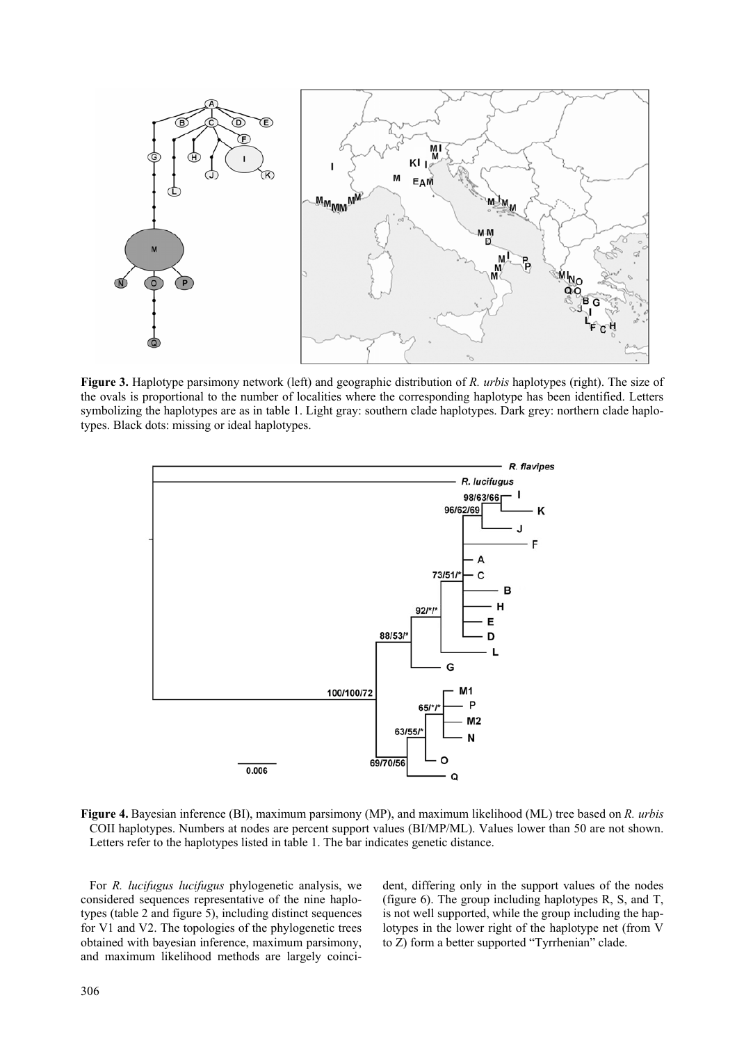

**Figure 3.** Haplotype parsimony network (left) and geographic distribution of *R. urbis* haplotypes (right). The size of the ovals is proportional to the number of localities where the corresponding haplotype has been identified. Letters symbolizing the haplotypes are as in table 1. Light gray: southern clade haplotypes. Dark grey: northern clade haplotypes. Black dots: missing or ideal haplotypes.



**Figure 4.** Bayesian inference (BI), maximum parsimony (MP), and maximum likelihood (ML) tree based on *R. urbis* COII haplotypes. Numbers at nodes are percent support values (BI/MP/ML). Values lower than 50 are not shown. Letters refer to the haplotypes listed in table 1. The bar indicates genetic distance.

For *R. lucifugus lucifugus* phylogenetic analysis, we considered sequences representative of the nine haplotypes (table 2 and figure 5), including distinct sequences for V1 and V2. The topologies of the phylogenetic trees obtained with bayesian inference, maximum parsimony, and maximum likelihood methods are largely coincident, differing only in the support values of the nodes (figure 6). The group including haplotypes R, S, and T, is not well supported, while the group including the haplotypes in the lower right of the haplotype net (from V to Z) form a better supported "Tyrrhenian" clade.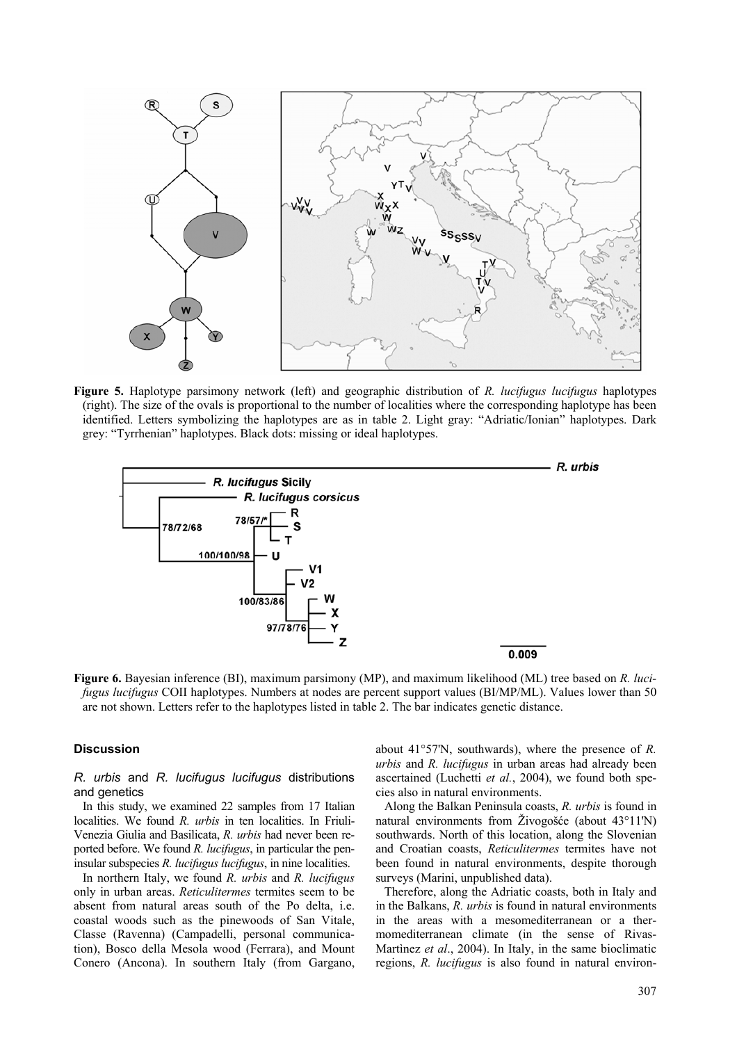

**Figure 5.** Haplotype parsimony network (left) and geographic distribution of *R. lucifugus lucifugus* haplotypes (right). The size of the ovals is proportional to the number of localities where the corresponding haplotype has been identified. Letters symbolizing the haplotypes are as in table 2. Light gray: "Adriatic/Ionian" haplotypes. Dark grey: "Tyrrhenian" haplotypes. Black dots: missing or ideal haplotypes.



**Figure 6.** Bayesian inference (BI), maximum parsimony (MP), and maximum likelihood (ML) tree based on *R. lucifugus lucifugus* COII haplotypes. Numbers at nodes are percent support values (BI/MP/ML). Values lower than 50 are not shown. Letters refer to the haplotypes listed in table 2. The bar indicates genetic distance.

# **Discussion**

## *R. urbis* and *R. lucifugus lucifugus* distributions and genetics

In this study, we examined 22 samples from 17 Italian localities. We found *R. urbis* in ten localities. In Friuli-Venezia Giulia and Basilicata, *R. urbis* had never been reported before. We found *R. lucifugus*, in particular the peninsular subspecies *R. lucifugus lucifugus*, in nine localities.

In northern Italy, we found *R. urbis* and *R. lucifugus* only in urban areas. *Reticulitermes* termites seem to be absent from natural areas south of the Po delta, i.e. coastal woods such as the pinewoods of San Vitale, Classe (Ravenna) (Campadelli, personal communication), Bosco della Mesola wood (Ferrara), and Mount Conero (Ancona). In southern Italy (from Gargano, about 41°57'N, southwards), where the presence of *R. urbis* and *R. lucifugus* in urban areas had already been ascertained (Luchetti *et al.*, 2004), we found both species also in natural environments.

Along the Balkan Peninsula coasts, *R. urbis* is found in natural environments from Živogošće (about 43°11'N) southwards. North of this location, along the Slovenian and Croatian coasts, *Reticulitermes* termites have not been found in natural environments, despite thorough surveys (Marini, unpublished data).

Therefore, along the Adriatic coasts, both in Italy and in the Balkans, *R. urbis* is found in natural environments in the areas with a mesomediterranean or a thermomediterranean climate (in the sense of Rivas-Martìnez *et al*., 2004). In Italy, in the same bioclimatic regions, *R. lucifugus* is also found in natural environ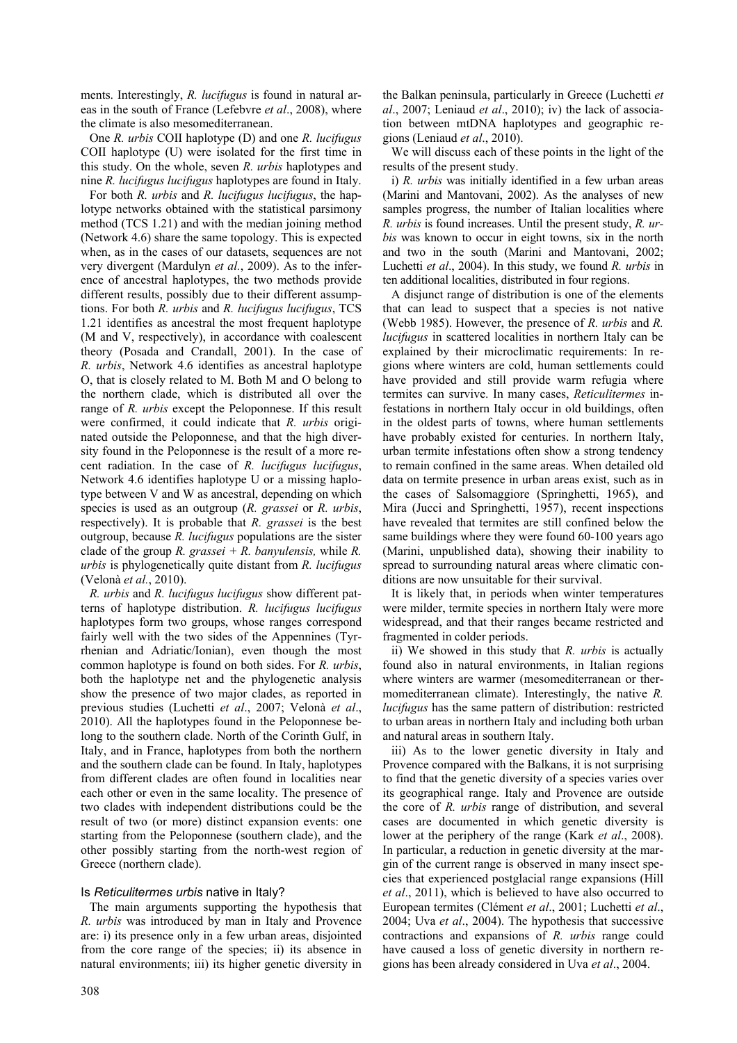ments. Interestingly, *R. lucifugus* is found in natural areas in the south of France (Lefebvre *et al*., 2008), where the climate is also mesomediterranean.

One *R. urbis* COII haplotype (D) and one *R. lucifugus* COII haplotype (U) were isolated for the first time in this study. On the whole, seven *R. urbis* haplotypes and nine *R. lucifugus lucifugus* haplotypes are found in Italy.

For both *R. urbis* and *R. lucifugus lucifugus*, the haplotype networks obtained with the statistical parsimony method (TCS 1.21) and with the median joining method (Network 4.6) share the same topology. This is expected when, as in the cases of our datasets, sequences are not very divergent (Mardulyn *et al.*, 2009). As to the inference of ancestral haplotypes, the two methods provide different results, possibly due to their different assumptions. For both *R. urbis* and *R. lucifugus lucifugus*, TCS 1.21 identifies as ancestral the most frequent haplotype (M and V, respectively), in accordance with coalescent theory (Posada and Crandall, 2001). In the case of *R. urbis*, Network 4.6 identifies as ancestral haplotype O, that is closely related to M. Both M and O belong to the northern clade, which is distributed all over the range of *R. urbis* except the Peloponnese. If this result were confirmed, it could indicate that *R. urbis* originated outside the Peloponnese, and that the high diversity found in the Peloponnese is the result of a more recent radiation. In the case of *R. lucifugus lucifugus*, Network 4.6 identifies haplotype U or a missing haplotype between V and W as ancestral, depending on which species is used as an outgroup (*R. grassei* or *R. urbis*, respectively). It is probable that *R. grassei* is the best outgroup, because *R. lucifugus* populations are the sister clade of the group *R. grassei + R. banyulensis,* while *R. urbis* is phylogenetically quite distant from *R. lucifugus*  (Velonà *et al.*, 2010).

*R. urbis* and *R. lucifugus lucifugus* show different patterns of haplotype distribution. *R. lucifugus lucifugus* haplotypes form two groups, whose ranges correspond fairly well with the two sides of the Appennines (Tyrrhenian and Adriatic/Ionian), even though the most common haplotype is found on both sides. For *R. urbis*, both the haplotype net and the phylogenetic analysis show the presence of two major clades, as reported in previous studies (Luchetti *et al*., 2007; Velonà *et al*., 2010). All the haplotypes found in the Peloponnese belong to the southern clade. North of the Corinth Gulf, in Italy, and in France, haplotypes from both the northern and the southern clade can be found. In Italy, haplotypes from different clades are often found in localities near each other or even in the same locality. The presence of two clades with independent distributions could be the result of two (or more) distinct expansion events: one starting from the Peloponnese (southern clade), and the other possibly starting from the north-west region of Greece (northern clade).

# Is *Reticulitermes urbis* native in Italy?

The main arguments supporting the hypothesis that *R. urbis* was introduced by man in Italy and Provence are: i) its presence only in a few urban areas, disjointed from the core range of the species; ii) its absence in natural environments; iii) its higher genetic diversity in the Balkan peninsula, particularly in Greece (Luchetti *et al*., 2007; Leniaud *et al*., 2010); iv) the lack of association between mtDNA haplotypes and geographic regions (Leniaud *et al*., 2010).

We will discuss each of these points in the light of the results of the present study.

i) *R. urbis* was initially identified in a few urban areas (Marini and Mantovani, 2002). As the analyses of new samples progress, the number of Italian localities where *R. urbis* is found increases. Until the present study, *R. urbis* was known to occur in eight towns, six in the north and two in the south (Marini and Mantovani, 2002; Luchetti *et al*., 2004). In this study, we found *R. urbis* in ten additional localities, distributed in four regions.

A disjunct range of distribution is one of the elements that can lead to suspect that a species is not native (Webb 1985). However, the presence of *R. urbis* and *R. lucifugus* in scattered localities in northern Italy can be explained by their microclimatic requirements: In regions where winters are cold, human settlements could have provided and still provide warm refugia where termites can survive. In many cases, *Reticulitermes* infestations in northern Italy occur in old buildings, often in the oldest parts of towns, where human settlements have probably existed for centuries. In northern Italy, urban termite infestations often show a strong tendency to remain confined in the same areas. When detailed old data on termite presence in urban areas exist, such as in the cases of Salsomaggiore (Springhetti, 1965), and Mira (Jucci and Springhetti, 1957), recent inspections have revealed that termites are still confined below the same buildings where they were found 60-100 years ago (Marini, unpublished data), showing their inability to spread to surrounding natural areas where climatic conditions are now unsuitable for their survival.

It is likely that, in periods when winter temperatures were milder, termite species in northern Italy were more widespread, and that their ranges became restricted and fragmented in colder periods.

ii) We showed in this study that *R. urbis* is actually found also in natural environments, in Italian regions where winters are warmer (mesomediterranean or thermomediterranean climate). Interestingly, the native *R. lucifugus* has the same pattern of distribution: restricted to urban areas in northern Italy and including both urban and natural areas in southern Italy.

iii) As to the lower genetic diversity in Italy and Provence compared with the Balkans, it is not surprising to find that the genetic diversity of a species varies over its geographical range. Italy and Provence are outside the core of *R. urbis* range of distribution, and several cases are documented in which genetic diversity is lower at the periphery of the range (Kark *et al*., 2008). In particular, a reduction in genetic diversity at the margin of the current range is observed in many insect species that experienced postglacial range expansions (Hill *et al*., 2011), which is believed to have also occurred to European termites (Clément *et al*., 2001; Luchetti *et al*., 2004; Uva *et al*., 2004). The hypothesis that successive contractions and expansions of *R. urbis* range could have caused a loss of genetic diversity in northern regions has been already considered in Uva *et al*., 2004.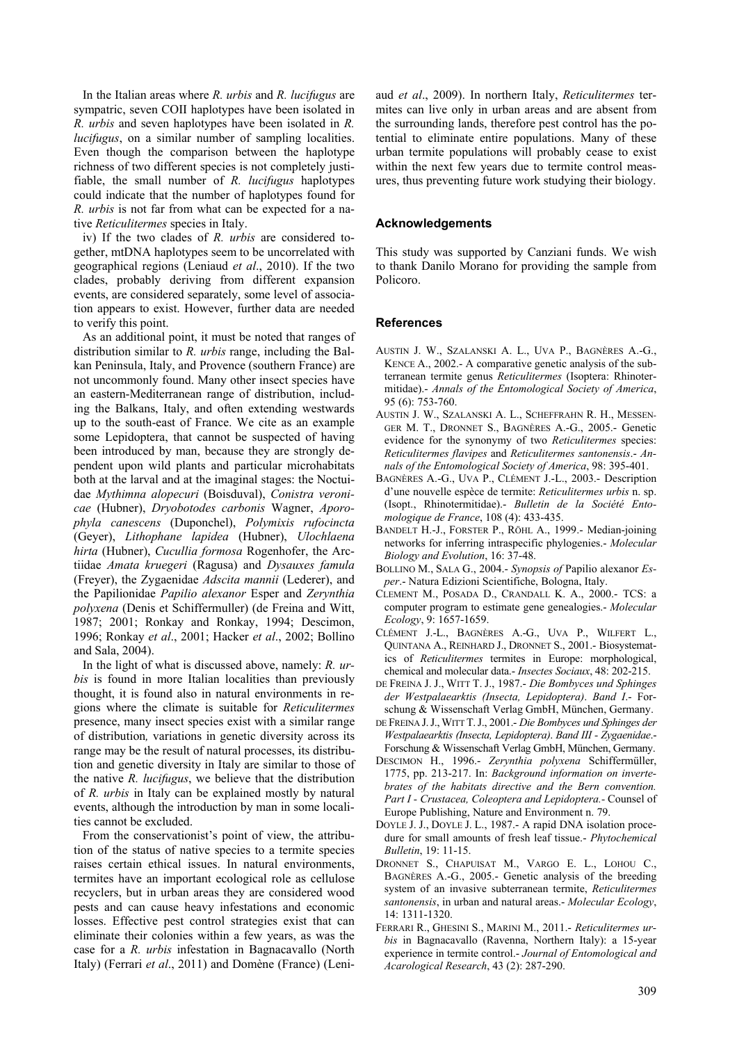In the Italian areas where *R. urbis* and *R. lucifugus* are sympatric, seven COII haplotypes have been isolated in *R. urbis* and seven haplotypes have been isolated in *R. lucifugus*, on a similar number of sampling localities. Even though the comparison between the haplotype richness of two different species is not completely justifiable, the small number of *R. lucifugus* haplotypes could indicate that the number of haplotypes found for *R. urbis* is not far from what can be expected for a native *Reticulitermes* species in Italy.

iv) If the two clades of *R. urbis* are considered together, mtDNA haplotypes seem to be uncorrelated with geographical regions (Leniaud *et al*., 2010). If the two clades, probably deriving from different expansion events, are considered separately, some level of association appears to exist. However, further data are needed to verify this point.

As an additional point, it must be noted that ranges of distribution similar to *R. urbis* range, including the Balkan Peninsula, Italy, and Provence (southern France) are not uncommonly found. Many other insect species have an eastern-Mediterranean range of distribution, including the Balkans, Italy, and often extending westwards up to the south-east of France. We cite as an example some Lepidoptera, that cannot be suspected of having been introduced by man, because they are strongly dependent upon wild plants and particular microhabitats both at the larval and at the imaginal stages: the Noctuidae *Mythimna alopecuri* (Boisduval), *Conistra veronicae* (Hubner), *Dryobotodes carbonis* Wagner, *Aporophyla canescens* (Duponchel), *Polymixis rufocincta*  (Geyer), *Lithophane lapidea* (Hubner), *Ulochlaena hirta* (Hubner), *Cucullia formosa* Rogenhofer, the Arctiidae *Amata kruegeri* (Ragusa) and *Dysauxes famula*  (Freyer), the Zygaenidae *Adscita mannii* (Lederer), and the Papilionidae *Papilio alexanor* Esper and *Zerynthia polyxena* (Denis et Schiffermuller) (de Freina and Witt, 1987; 2001; Ronkay and Ronkay, 1994; Descimon, 1996; Ronkay *et al*., 2001; Hacker *et al*., 2002; Bollino and Sala, 2004).

In the light of what is discussed above, namely: *R. urbis* is found in more Italian localities than previously thought, it is found also in natural environments in regions where the climate is suitable for *Reticulitermes* presence, many insect species exist with a similar range of distribution*,* variations in genetic diversity across its range may be the result of natural processes, its distribution and genetic diversity in Italy are similar to those of the native *R. lucifugus*, we believe that the distribution of *R. urbis* in Italy can be explained mostly by natural events, although the introduction by man in some localities cannot be excluded.

From the conservationist's point of view, the attribution of the status of native species to a termite species raises certain ethical issues. In natural environments, termites have an important ecological role as cellulose recyclers, but in urban areas they are considered wood pests and can cause heavy infestations and economic losses. Effective pest control strategies exist that can eliminate their colonies within a few years, as was the case for a *R. urbis* infestation in Bagnacavallo (North Italy) (Ferrari *et al*., 2011) and Domène (France) (Leni-

aud *et al*., 2009). In northern Italy, *Reticulitermes* termites can live only in urban areas and are absent from the surrounding lands, therefore pest control has the potential to eliminate entire populations. Many of these urban termite populations will probably cease to exist within the next few years due to termite control measures, thus preventing future work studying their biology.

# **Acknowledgements**

This study was supported by Canziani funds. We wish to thank Danilo Morano for providing the sample from Policoro.

## **References**

- AUSTIN J. W., SZALANSKI A. L., UVA P., BAGNÈRES A.-G., KENCE A., 2002.- A comparative genetic analysis of the subterranean termite genus *Reticulitermes* (Isoptera: Rhinotermitidae).- *Annals of the Entomological Society of America*, 95 (6): 753-760.
- AUSTIN J. W., SZALANSKI A. L., SCHEFFRAHN R. H., MESSEN-GER M. T., DRONNET S., BAGNÈRES A.-G., 2005.- Genetic evidence for the synonymy of two *Reticulitermes* species: *Reticulitermes flavipes* and *Reticulitermes santonensis*.- *Annals of the Entomological Society of America*, 98: 395-401.
- BAGNÈRES A.-G., UVA P., CLÉMENT J.-L., 2003.- Description d'une nouvelle espèce de termite: *Reticulitermes urbis* n. sp. (Isopt., Rhinotermitidae).- *Bulletin de la Société Entomologique de France*, 108 (4): 433-435.
- BANDELT H.-J., FORSTER P., RÖHL A., 1999.- Median-joining networks for inferring intraspecific phylogenies.- *Molecular Biology and Evolution*, 16: 37-48.
- BOLLINO M., SALA G., 2004.- *Synopsis of* Papilio alexanor *Esper*.- Natura Edizioni Scientifiche, Bologna, Italy.
- CLEMENT M., POSADA D., CRANDALL K. A., 2000.- TCS: a computer program to estimate gene genealogies.- *Molecular Ecology*, 9: 1657-1659.
- CLÉMENT J.-L., BAGNÈRES A.-G., UVA P., WILFERT L., QUINTANA A., REINHARD J., DRONNET S., 2001.- Biosystematics of *Reticulitermes* termites in Europe: morphological, chemical and molecular data.- *Insectes Sociaux*, 48: 202-215.
- DE FREINA J. J., WITT T. J., 1987.- *Die Bombyces und Sphinges der Westpalaearktis (Insecta, Lepidoptera)*. *Band I*.- Forschung & Wissenschaft Verlag GmbH, München, Germany.
- DE FREINA J.J.,WITT T.J., 2001.- *Die Bombyces und Sphinges der Westpalaearktis (Insecta, Lepidoptera)*. *Band III - Zygaenidae*.- Forschung & Wissenschaft Verlag GmbH, München, Germany.
- DESCIMON H., 1996.- *Zerynthia polyxena* Schiffermüller, 1775, pp. 213-217. In: *Background information on invertebrates of the habitats directive and the Bern convention. Part I - Crustacea, Coleoptera and Lepidoptera.-* Counsel of Europe Publishing, Nature and Environment n. 79.
- DOYLE J. J., DOYLE J. L., 1987.- A rapid DNA isolation procedure for small amounts of fresh leaf tissue.- *Phytochemical Bulletin*, 19: 11-15.
- DRONNET S., CHAPUISAT M., VARGO E. L., LOHOU C., BAGNÈRES A.-G., 2005.- Genetic analysis of the breeding system of an invasive subterranean termite, *Reticulitermes santonensis*, in urban and natural areas.- *Molecular Ecology*, 14: 1311-1320.
- FERRARI R., GHESINI S., MARINI M., 2011.- *Reticulitermes urbis* in Bagnacavallo (Ravenna, Northern Italy): a 15-year experience in termite control.- *Journal of Entomological and Acarological Research*, 43 (2): 287-290.